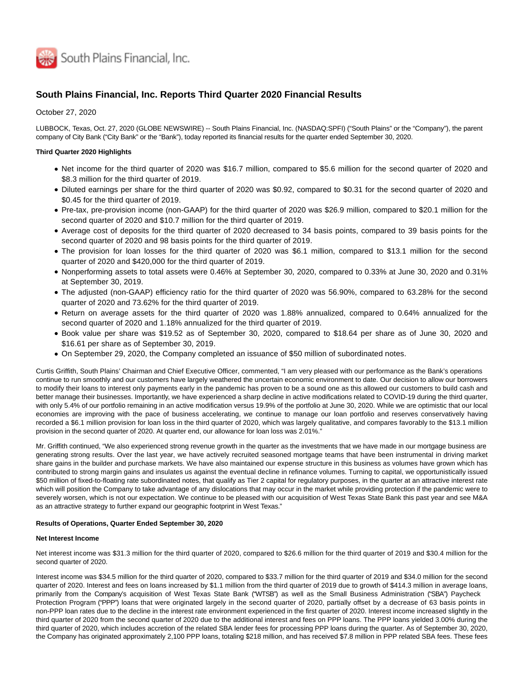

# **South Plains Financial, Inc. Reports Third Quarter 2020 Financial Results**

October 27, 2020

LUBBOCK, Texas, Oct. 27, 2020 (GLOBE NEWSWIRE) -- South Plains Financial, Inc. (NASDAQ:SPFI) ("South Plains" or the "Company"), the parent company of City Bank ("City Bank" or the "Bank"), today reported its financial results for the quarter ended September 30, 2020.

### **Third Quarter 2020 Highlights**

- Net income for the third quarter of 2020 was \$16.7 million, compared to \$5.6 million for the second quarter of 2020 and \$8.3 million for the third quarter of 2019.
- Diluted earnings per share for the third quarter of 2020 was \$0.92, compared to \$0.31 for the second quarter of 2020 and \$0.45 for the third quarter of 2019.
- Pre-tax, pre-provision income (non-GAAP) for the third quarter of 2020 was \$26.9 million, compared to \$20.1 million for the second quarter of 2020 and \$10.7 million for the third quarter of 2019.
- Average cost of deposits for the third quarter of 2020 decreased to 34 basis points, compared to 39 basis points for the second quarter of 2020 and 98 basis points for the third quarter of 2019.
- The provision for loan losses for the third quarter of 2020 was \$6.1 million, compared to \$13.1 million for the second quarter of 2020 and \$420,000 for the third quarter of 2019.
- Nonperforming assets to total assets were 0.46% at September 30, 2020, compared to 0.33% at June 30, 2020 and 0.31% at September 30, 2019.
- The adjusted (non-GAAP) efficiency ratio for the third quarter of 2020 was 56.90%, compared to 63.28% for the second quarter of 2020 and 73.62% for the third quarter of 2019.
- Return on average assets for the third quarter of 2020 was 1.88% annualized, compared to 0.64% annualized for the second quarter of 2020 and 1.18% annualized for the third quarter of 2019.
- Book value per share was \$19.52 as of September 30, 2020, compared to \$18.64 per share as of June 30, 2020 and \$16.61 per share as of September 30, 2019.
- On September 29, 2020, the Company completed an issuance of \$50 million of subordinated notes.

Curtis Griffith, South Plains' Chairman and Chief Executive Officer, commented, "I am very pleased with our performance as the Bank's operations continue to run smoothly and our customers have largely weathered the uncertain economic environment to date. Our decision to allow our borrowers to modify their loans to interest only payments early in the pandemic has proven to be a sound one as this allowed our customers to build cash and better manage their businesses. Importantly, we have experienced a sharp decline in active modifications related to COVID-19 during the third quarter, with only 5.4% of our portfolio remaining in an active modification versus 19.9% of the portfolio at June 30, 2020. While we are optimistic that our local economies are improving with the pace of business accelerating, we continue to manage our loan portfolio and reserves conservatively having recorded a \$6.1 million provision for loan loss in the third quarter of 2020, which was largely qualitative, and compares favorably to the \$13.1 million provision in the second quarter of 2020. At quarter end, our allowance for loan loss was 2.01%."

Mr. Griffith continued, "We also experienced strong revenue growth in the quarter as the investments that we have made in our mortgage business are generating strong results. Over the last year, we have actively recruited seasoned mortgage teams that have been instrumental in driving market share gains in the builder and purchase markets. We have also maintained our expense structure in this business as volumes have grown which has contributed to strong margin gains and insulates us against the eventual decline in refinance volumes. Turning to capital, we opportunistically issued \$50 million of fixed-to-floating rate subordinated notes, that qualify as Tier 2 capital for regulatory purposes, in the quarter at an attractive interest rate which will position the Company to take advantage of any dislocations that may occur in the market while providing protection if the pandemic were to severely worsen, which is not our expectation. We continue to be pleased with our acquisition of West Texas State Bank this past year and see M&A as an attractive strategy to further expand our geographic footprint in West Texas."

### **Results of Operations, Quarter Ended September 30, 2020**

#### **Net Interest Income**

Net interest income was \$31.3 million for the third quarter of 2020, compared to \$26.6 million for the third quarter of 2019 and \$30.4 million for the second quarter of 2020.

Interest income was \$34.5 million for the third quarter of 2020, compared to \$33.7 million for the third quarter of 2019 and \$34.0 million for the second quarter of 2020. Interest and fees on loans increased by \$1.1 million from the third quarter of 2019 due to growth of \$414.3 million in average loans, primarily from the Company's acquisition of West Texas State Bank ("WTSB") as well as the Small Business Administration ("SBA") Paycheck Protection Program ("PPP") loans that were originated largely in the second quarter of 2020, partially offset by a decrease of 63 basis points in non-PPP loan rates due to the decline in the interest rate environment experienced in the first quarter of 2020. Interest income increased slightly in the third quarter of 2020 from the second quarter of 2020 due to the additional interest and fees on PPP loans. The PPP loans yielded 3.00% during the third quarter of 2020, which includes accretion of the related SBA lender fees for processing PPP loans during the quarter. As of September 30, 2020, the Company has originated approximately 2,100 PPP loans, totaling \$218 million, and has received \$7.8 million in PPP related SBA fees. These fees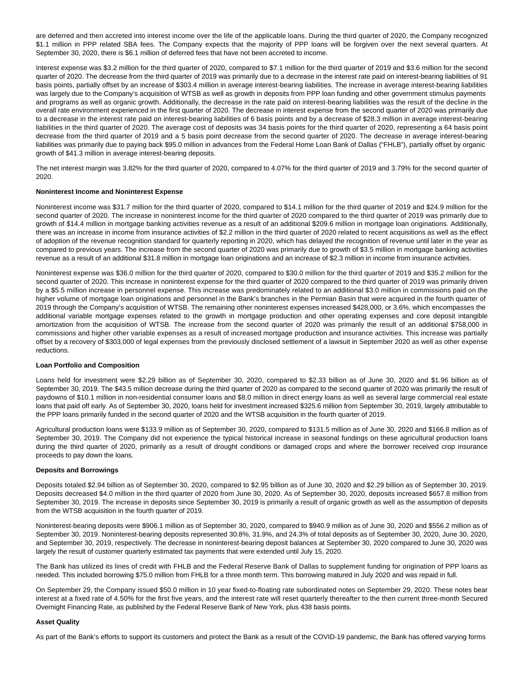are deferred and then accreted into interest income over the life of the applicable loans. During the third quarter of 2020, the Company recognized \$1.1 million in PPP related SBA fees. The Company expects that the majority of PPP loans will be forgiven over the next several quarters. At September 30, 2020, there is \$6.1 million of deferred fees that have not been accreted to income.

Interest expense was \$3.2 million for the third quarter of 2020, compared to \$7.1 million for the third quarter of 2019 and \$3.6 million for the second quarter of 2020. The decrease from the third quarter of 2019 was primarily due to a decrease in the interest rate paid on interest-bearing liabilities of 91 basis points, partially offset by an increase of \$303.4 million in average interest-bearing liabilities. The increase in average interest-bearing liabilities was largely due to the Company's acquisition of WTSB as well as growth in deposits from PPP loan funding and other government stimulus payments and programs as well as organic growth. Additionally, the decrease in the rate paid on interest-bearing liabilities was the result of the decline in the overall rate environment experienced in the first quarter of 2020. The decrease in interest expense from the second quarter of 2020 was primarily due to a decrease in the interest rate paid on interest-bearing liabilities of 6 basis points and by a decrease of \$28.3 million in average interest-bearing liabilities in the third quarter of 2020. The average cost of deposits was 34 basis points for the third quarter of 2020, representing a 64 basis point decrease from the third quarter of 2019 and a 5 basis point decrease from the second quarter of 2020. The decrease in average interest-bearing liabilities was primarily due to paying back \$95.0 million in advances from the Federal Home Loan Bank of Dallas ("FHLB"), partially offset by organic growth of \$41.3 million in average interest-bearing deposits.

The net interest margin was 3.82% for the third quarter of 2020, compared to 4.07% for the third quarter of 2019 and 3.79% for the second quarter of 2020.

### **Noninterest Income and Noninterest Expense**

Noninterest income was \$31.7 million for the third quarter of 2020, compared to \$14.1 million for the third quarter of 2019 and \$24.9 million for the second quarter of 2020. The increase in noninterest income for the third quarter of 2020 compared to the third quarter of 2019 was primarily due to growth of \$14.4 million in mortgage banking activities revenue as a result of an additional \$209.6 million in mortgage loan originations. Additionally, there was an increase in income from insurance activities of \$2.2 million in the third quarter of 2020 related to recent acquisitions as well as the effect of adoption of the revenue recognition standard for quarterly reporting in 2020, which has delayed the recognition of revenue until later in the year as compared to previous years. The increase from the second quarter of 2020 was primarily due to growth of \$3.5 million in mortgage banking activities revenue as a result of an additional \$31.8 million in mortgage loan originations and an increase of \$2.3 million in income from insurance activities.

Noninterest expense was \$36.0 million for the third quarter of 2020, compared to \$30.0 million for the third quarter of 2019 and \$35.2 million for the second quarter of 2020. This increase in noninterest expense for the third quarter of 2020 compared to the third quarter of 2019 was primarily driven by a \$5.5 million increase in personnel expense. This increase was predominately related to an additional \$3.0 million in commissions paid on the higher volume of mortgage loan originations and personnel in the Bank's branches in the Permian Basin that were acquired in the fourth quarter of 2019 through the Company's acquisition of WTSB. The remaining other noninterest expenses increased \$428,000, or 3.6%, which encompasses the additional variable mortgage expenses related to the growth in mortgage production and other operating expenses and core deposit intangible amortization from the acquisition of WTSB. The increase from the second quarter of 2020 was primarily the result of an additional \$758,000 in commissions and higher other variable expenses as a result of increased mortgage production and insurance activities. This increase was partially offset by a recovery of \$303,000 of legal expenses from the previously disclosed settlement of a lawsuit in September 2020 as well as other expense reductions.

#### **Loan Portfolio and Composition**

Loans held for investment were \$2.29 billion as of September 30, 2020, compared to \$2.33 billion as of June 30, 2020 and \$1.96 billion as of September 30, 2019. The \$43.5 million decrease during the third quarter of 2020 as compared to the second quarter of 2020 was primarily the result of paydowns of \$10.1 million in non-residential consumer loans and \$8.0 million in direct energy loans as well as several large commercial real estate loans that paid off early. As of September 30, 2020, loans held for investment increased \$325.6 million from September 30, 2019, largely attributable to the PPP loans primarily funded in the second quarter of 2020 and the WTSB acquisition in the fourth quarter of 2019.

Agricultural production loans were \$133.9 million as of September 30, 2020, compared to \$131.5 million as of June 30, 2020 and \$166.8 million as of September 30, 2019. The Company did not experience the typical historical increase in seasonal fundings on these agricultural production loans during the third quarter of 2020, primarily as a result of drought conditions or damaged crops and where the borrower received crop insurance proceeds to pay down the loans.

#### **Deposits and Borrowings**

Deposits totaled \$2.94 billion as of September 30, 2020, compared to \$2.95 billion as of June 30, 2020 and \$2.29 billion as of September 30, 2019. Deposits decreased \$4.0 million in the third quarter of 2020 from June 30, 2020. As of September 30, 2020, deposits increased \$657.8 million from September 30, 2019. The increase in deposits since September 30, 2019 is primarily a result of organic growth as well as the assumption of deposits from the WTSB acquisition in the fourth quarter of 2019.

Noninterest-bearing deposits were \$906.1 million as of September 30, 2020, compared to \$940.9 million as of June 30, 2020 and \$556.2 million as of September 30, 2019. Noninterest-bearing deposits represented 30.8%, 31.9%, and 24.3% of total deposits as of September 30, 2020, June 30, 2020, and September 30, 2019, respectively. The decrease in noninterest-bearing deposit balances at September 30, 2020 compared to June 30, 2020 was largely the result of customer quarterly estimated tax payments that were extended until July 15, 2020.

The Bank has utilized its lines of credit with FHLB and the Federal Reserve Bank of Dallas to supplement funding for origination of PPP loans as needed. This included borrowing \$75.0 million from FHLB for a three month term. This borrowing matured in July 2020 and was repaid in full.

On September 29, the Company issued \$50.0 million in 10 year fixed-to-floating rate subordinated notes on September 29, 2020. These notes bear interest at a fixed rate of 4.50% for the first five years, and the interest rate will reset quarterly thereafter to the then current three-month Secured Overnight Financing Rate, as published by the Federal Reserve Bank of New York, plus 438 basis points.

#### **Asset Quality**

As part of the Bank's efforts to support its customers and protect the Bank as a result of the COVID-19 pandemic, the Bank has offered varying forms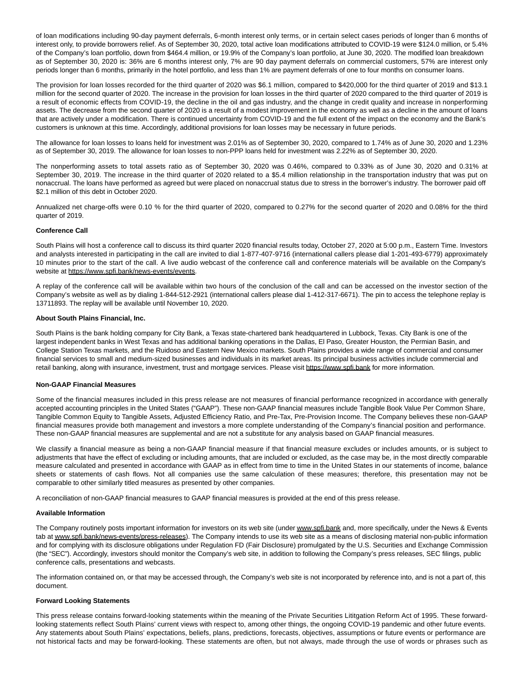of loan modifications including 90-day payment deferrals, 6-month interest only terms, or in certain select cases periods of longer than 6 months of interest only, to provide borrowers relief. As of September 30, 2020, total active loan modifications attributed to COVID-19 were \$124.0 million, or 5.4% of the Company's loan portfolio, down from \$464.4 million, or 19.9% of the Company's loan portfolio, at June 30, 2020. The modified loan breakdown as of September 30, 2020 is: 36% are 6 months interest only, 7% are 90 day payment deferrals on commercial customers, 57% are interest only periods longer than 6 months, primarily in the hotel portfolio, and less than 1% are payment deferrals of one to four months on consumer loans.

The provision for loan losses recorded for the third quarter of 2020 was \$6.1 million, compared to \$420,000 for the third quarter of 2019 and \$13.1 million for the second quarter of 2020. The increase in the provision for loan losses in the third quarter of 2020 compared to the third quarter of 2019 is a result of economic effects from COVID-19, the decline in the oil and gas industry, and the change in credit quality and increase in nonperforming assets. The decrease from the second quarter of 2020 is a result of a modest improvement in the economy as well as a decline in the amount of loans that are actively under a modification. There is continued uncertainty from COVID-19 and the full extent of the impact on the economy and the Bank's customers is unknown at this time. Accordingly, additional provisions for loan losses may be necessary in future periods.

The allowance for loan losses to loans held for investment was 2.01% as of September 30, 2020, compared to 1.74% as of June 30, 2020 and 1.23% as of September 30, 2019. The allowance for loan losses to non-PPP loans held for investment was 2.22% as of September 30, 2020.

The nonperforming assets to total assets ratio as of September 30, 2020 was 0.46%, compared to 0.33% as of June 30, 2020 and 0.31% at September 30, 2019. The increase in the third quarter of 2020 related to a \$5.4 million relationship in the transportation industry that was put on nonaccrual. The loans have performed as agreed but were placed on nonaccrual status due to stress in the borrower's industry. The borrower paid off \$2.1 million of this debt in October 2020.

Annualized net charge-offs were 0.10 % for the third quarter of 2020, compared to 0.27% for the second quarter of 2020 and 0.08% for the third quarter of 2019.

#### **Conference Call**

South Plains will host a conference call to discuss its third quarter 2020 financial results today, October 27, 2020 at 5:00 p.m., Eastern Time. Investors and analysts interested in participating in the call are invited to dial 1-877-407-9716 (international callers please dial 1-201-493-6779) approximately 10 minutes prior to the start of the call. A live audio webcast of the conference call and conference materials will be available on the Company's website at https://www.spfi.bank/news-events/events.

A replay of the conference call will be available within two hours of the conclusion of the call and can be accessed on the investor section of the Company's website as well as by dialing 1-844-512-2921 (international callers please dial 1-412-317-6671). The pin to access the telephone replay is 13711893. The replay will be available until November 10, 2020.

#### **About South Plains Financial, Inc.**

South Plains is the bank holding company for City Bank, a Texas state-chartered bank headquartered in Lubbock, Texas. City Bank is one of the largest independent banks in West Texas and has additional banking operations in the Dallas, El Paso, Greater Houston, the Permian Basin, and College Station Texas markets, and the Ruidoso and Eastern New Mexico markets. South Plains provides a wide range of commercial and consumer financial services to small and medium-sized businesses and individuals in its market areas. Its principal business activities include commercial and retail banking, along with insurance, investment, trust and mortgage services. Please visit https://www.spfi.bank for more information.

#### **Non-GAAP Financial Measures**

Some of the financial measures included in this press release are not measures of financial performance recognized in accordance with generally accepted accounting principles in the United States ("GAAP"). These non-GAAP financial measures include Tangible Book Value Per Common Share, Tangible Common Equity to Tangible Assets, Adjusted Efficiency Ratio, and Pre-Tax, Pre-Provision Income. The Company believes these non-GAAP financial measures provide both management and investors a more complete understanding of the Company's financial position and performance. These non-GAAP financial measures are supplemental and are not a substitute for any analysis based on GAAP financial measures.

We classify a financial measure as being a non-GAAP financial measure if that financial measure excludes or includes amounts, or is subject to adjustments that have the effect of excluding or including amounts, that are included or excluded, as the case may be, in the most directly comparable measure calculated and presented in accordance with GAAP as in effect from time to time in the United States in our statements of income, balance sheets or statements of cash flows. Not all companies use the same calculation of these measures; therefore, this presentation may not be comparable to other similarly titled measures as presented by other companies.

A reconciliation of non-GAAP financial measures to GAAP financial measures is provided at the end of this press release.

#### **Available Information**

The Company routinely posts important information for investors on its web site (under www.spfi.bank and, more specifically, under the News & Events tab at www.spfi.bank/news-events/press-releases). The Company intends to use its web site as a means of disclosing material non-public information and for complying with its disclosure obligations under Regulation FD (Fair Disclosure) promulgated by the U.S. Securities and Exchange Commission (the "SEC"). Accordingly, investors should monitor the Company's web site, in addition to following the Company's press releases, SEC filings, public conference calls, presentations and webcasts.

The information contained on, or that may be accessed through, the Company's web site is not incorporated by reference into, and is not a part of, this document.

#### **Forward Looking Statements**

This press release contains forward-looking statements within the meaning of the Private Securities Lititgation Reform Act of 1995. These forwardlooking statements reflect South Plains' current views with respect to, among other things, the ongoing COVID-19 pandemic and other future events. Any statements about South Plains' expectations, beliefs, plans, predictions, forecasts, objectives, assumptions or future events or performance are not historical facts and may be forward-looking. These statements are often, but not always, made through the use of words or phrases such as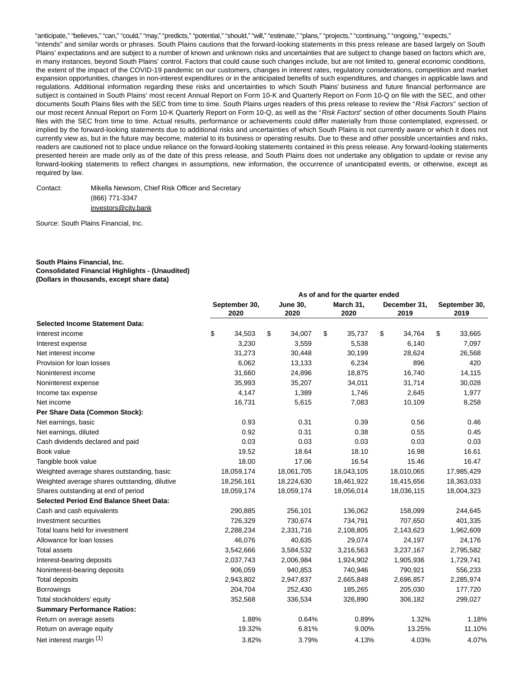"anticipate," "believes," "can," "could," "may," "predicts," "potential," "should," "will," "estimate," "plans," "projects," "continuing," "ongoing," "expects," "intends" and similar words or phrases. South Plains cautions that the forward-looking statements in this press release are based largely on South Plains' expectations and are subject to a number of known and unknown risks and uncertainties that are subject to change based on factors which are, in many instances, beyond South Plains' control. Factors that could cause such changes include, but are not limited to, general economic conditions, the extent of the impact of the COVID-19 pandemic on our customers, changes in interest rates, regulatory considerations, competition and market expansion opportunities, changes in non-interest expenditures or in the anticipated benefits of such expenditures, and changes in applicable laws and regulations. Additional information regarding these risks and uncertainties to which South Plains' business and future financial performance are subject is contained in South Plains' most recent Annual Report on Form 10-K and Quarterly Report on Form 10-Q on file with the SEC, and other documents South Plains files with the SEC from time to time. South Plains urges readers of this press release to review the "Risk Factors" section of our most recent Annual Report on Form 10-K Quarterly Report on Form 10-Q, as well as the "Risk Factors" section of other documents South Plains files with the SEC from time to time. Actual results, performance or achievements could differ materially from those contemplated, expressed, or implied by the forward-looking statements due to additional risks and uncertainties of which South Plains is not currently aware or which it does not currently view as, but in the future may become, material to its business or operating results. Due to these and other possible uncertainties and risks, readers are cautioned not to place undue reliance on the forward-looking statements contained in this press release. Any forward-looking statements presented herein are made only as of the date of this press release, and South Plains does not undertake any obligation to update or revise any forward-looking statements to reflect changes in assumptions, new information, the occurrence of unanticipated events, or otherwise, except as required by law.

Contact: Mikella Newsom, Chief Risk Officer and Secretary (866) 771-3347 investors@city.bank

Source: South Plains Financial, Inc.

### **South Plains Financial, Inc. Consolidated Financial Highlights - (Unaudited) (Dollars in thousands, except share data)**

|                                                |                       |                         | As of and for the quarter ended |                      |                       |
|------------------------------------------------|-----------------------|-------------------------|---------------------------------|----------------------|-----------------------|
|                                                | September 30,<br>2020 | <b>June 30,</b><br>2020 | March 31,<br>2020               | December 31,<br>2019 | September 30,<br>2019 |
| <b>Selected Income Statement Data:</b>         |                       |                         |                                 |                      |                       |
| Interest income                                | \$<br>34,503          | \$<br>34,007            | \$<br>35,737                    | \$<br>34,764         | \$<br>33,665          |
| Interest expense                               | 3,230                 | 3,559                   | 5,538                           | 6,140                | 7,097                 |
| Net interest income                            | 31,273                | 30,448                  | 30,199                          | 28,624               | 26,568                |
| Provision for loan losses                      | 6,062                 | 13,133                  | 6,234                           | 896                  | 420                   |
| Noninterest income                             | 31,660                | 24,896                  | 18,875                          | 16,740               | 14,115                |
| Noninterest expense                            | 35,993                | 35,207                  | 34,011                          | 31,714               | 30,028                |
| Income tax expense                             | 4,147                 | 1,389                   | 1,746                           | 2,645                | 1,977                 |
| Net income                                     | 16,731                | 5,615                   | 7,083                           | 10,109               | 8,258                 |
| Per Share Data (Common Stock):                 |                       |                         |                                 |                      |                       |
| Net earnings, basic                            | 0.93                  | 0.31                    | 0.39                            | 0.56                 | 0.46                  |
| Net earnings, diluted                          | 0.92                  | 0.31                    | 0.38                            | 0.55                 | 0.45                  |
| Cash dividends declared and paid               | 0.03                  | 0.03                    | 0.03                            | 0.03                 | 0.03                  |
| Book value                                     | 19.52                 | 18.64                   | 18.10                           | 16.98                | 16.61                 |
| Tangible book value                            | 18.00                 | 17.06                   | 16.54                           | 15.46                | 16.47                 |
| Weighted average shares outstanding, basic     | 18,059,174            | 18,061,705              | 18,043,105                      | 18,010,065           | 17,985,429            |
| Weighted average shares outstanding, dilutive  | 18,256,161            | 18,224,630              | 18,461,922                      | 18,415,656           | 18,363,033            |
| Shares outstanding at end of period            | 18,059,174            | 18,059,174              | 18,056,014                      | 18,036,115           | 18,004,323            |
| <b>Selected Period End Balance Sheet Data:</b> |                       |                         |                                 |                      |                       |
| Cash and cash equivalents                      | 290,885               | 256,101                 | 136,062                         | 158,099              | 244,645               |
| Investment securities                          | 726,329               | 730,674                 | 734,791                         | 707,650              | 401,335               |
| Total loans held for investment                | 2,288,234             | 2,331,716               | 2,108,805                       | 2,143,623            | 1,962,609             |
| Allowance for loan losses                      | 46,076                | 40,635                  | 29,074                          | 24,197               | 24,176                |
| <b>Total assets</b>                            | 3,542,666             | 3,584,532               | 3,216,563                       | 3,237,167            | 2,795,582             |
| Interest-bearing deposits                      | 2,037,743             | 2,006,984               | 1,924,902                       | 1,905,936            | 1,729,741             |
| Noninterest-bearing deposits                   | 906,059               | 940,853                 | 740,946                         | 790,921              | 556,233               |
| Total deposits                                 | 2,943,802             | 2,947,837               | 2,665,848                       | 2,696,857            | 2,285,974             |
| <b>Borrowings</b>                              | 204,704               | 252,430                 | 185,265                         | 205,030              | 177,720               |
| Total stockholders' equity                     | 352,568               | 336,534                 | 326,890                         | 306,182              | 299,027               |
| <b>Summary Performance Ratios:</b>             |                       |                         |                                 |                      |                       |
| Return on average assets                       | 1.88%                 | 0.64%                   | 0.89%                           | 1.32%                | 1.18%                 |
| Return on average equity                       | 19.32%                | 6.81%                   | 9.00%                           | 13.25%               | 11.10%                |
| Net interest margin (1)                        | 3.82%                 | 3.79%                   | 4.13%                           | 4.03%                | 4.07%                 |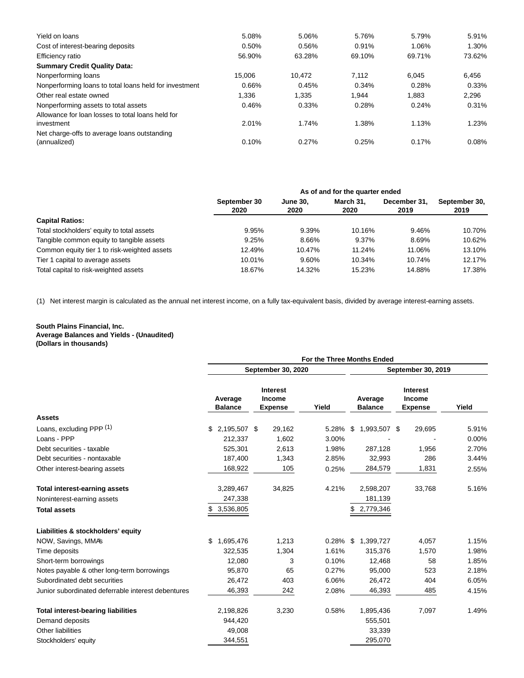| Yield on loans                                                  | 5.08%  | 5.06%  | 5.76%  | 5.79%  | 5.91%  |
|-----------------------------------------------------------------|--------|--------|--------|--------|--------|
| Cost of interest-bearing deposits                               | 0.50%  | 0.56%  | 0.91%  | 1.06%  | 1.30%  |
| Efficiency ratio                                                | 56.90% | 63.28% | 69.10% | 69.71% | 73.62% |
| <b>Summary Credit Quality Data:</b>                             |        |        |        |        |        |
| Nonperforming loans                                             | 15.006 | 10.472 | 7.112  | 6.045  | 6.456  |
| Nonperforming loans to total loans held for investment          | 0.66%  | 0.45%  | 0.34%  | 0.28%  | 0.33%  |
| Other real estate owned                                         | 1.336  | 1.335  | 1.944  | 1.883  | 2,296  |
| Nonperforming assets to total assets                            | 0.46%  | 0.33%  | 0.28%  | 0.24%  | 0.31%  |
| Allowance for loan losses to total loans held for<br>investment | 2.01%  | 1.74%  | 1.38%  | 1.13%  | 1.23%  |
| Net charge-offs to average loans outstanding<br>(annualized)    | 0.10%  | 0.27%  | 0.25%  | 0.17%  | 0.08%  |
|                                                                 |        |        |        |        |        |

|                                              | As of and for the quarter ended |                         |                   |                      |                       |  |  |  |  |  |
|----------------------------------------------|---------------------------------|-------------------------|-------------------|----------------------|-----------------------|--|--|--|--|--|
|                                              | September 30<br>2020            | <b>June 30.</b><br>2020 | March 31.<br>2020 | December 31.<br>2019 | September 30,<br>2019 |  |  |  |  |  |
| <b>Capital Ratios:</b>                       |                                 |                         |                   |                      |                       |  |  |  |  |  |
| Total stockholders' equity to total assets   | 9.95%                           | 9.39%                   | 10.16%            | 9.46%                | 10.70%                |  |  |  |  |  |
| Tangible common equity to tangible assets    | 9.25%                           | 8.66%                   | 9.37%             | 8.69%                | 10.62%                |  |  |  |  |  |
| Common equity tier 1 to risk-weighted assets | 12.49%                          | 10.47%                  | 11.24%            | 11.06%               | 13.10%                |  |  |  |  |  |
| Tier 1 capital to average assets             | 10.01%                          | 9.60%                   | 10.34%            | 10.74%               | 12.17%                |  |  |  |  |  |
| Total capital to risk-weighted assets        | 18.67%                          | 14.32%                  | 15.23%            | 14.88%               | 17.38%                |  |  |  |  |  |

(1) Net interest margin is calculated as the annual net interest income, on a fully tax-equivalent basis, divided by average interest-earning assets.

### **South Plains Financial, Inc. Average Balances and Yields - (Unaudited) (Dollars in thousands)**

|                                                    | For the Three Months Ended |                                                    |             |                           |                                             |       |  |  |
|----------------------------------------------------|----------------------------|----------------------------------------------------|-------------|---------------------------|---------------------------------------------|-------|--|--|
|                                                    |                            | September 30, 2020                                 |             | September 30, 2019        |                                             |       |  |  |
|                                                    | Average<br><b>Balance</b>  | <b>Interest</b><br><b>Income</b><br><b>Expense</b> | Yield       | Average<br><b>Balance</b> | Interest<br><b>Income</b><br><b>Expense</b> | Yield |  |  |
| <b>Assets</b>                                      |                            |                                                    |             |                           |                                             |       |  |  |
| Loans, excluding PPP (1)                           | 2,195,507 \$<br>\$         | 29,162                                             | 5.28%       | \$<br>1,993,507 \$        | 29,695                                      | 5.91% |  |  |
| Loans - PPP                                        | 212,337                    | 1,602                                              | 3.00%       |                           |                                             | 0.00% |  |  |
| Debt securities - taxable                          | 525,301                    | 2,613                                              | 1.98%       | 287,128                   | 1,956                                       | 2.70% |  |  |
| Debt securities - nontaxable                       | 187,400                    | 1,343                                              | 2.85%       | 32,993                    | 286                                         | 3.44% |  |  |
| Other interest-bearing assets                      | 168,922                    | 105                                                | 0.25%       | 284,579                   | 1,831                                       | 2.55% |  |  |
| <b>Total interest-earning assets</b>               | 3,289,467                  | 34,825                                             | 4.21%       | 2,598,207                 | 33,768                                      | 5.16% |  |  |
| Noninterest-earning assets                         | 247,338                    |                                                    |             | 181,139                   |                                             |       |  |  |
| <b>Total assets</b>                                | 3,536,805                  |                                                    |             | 2,779,346                 |                                             |       |  |  |
| Liabilities & stockholders' equity                 |                            |                                                    |             |                           |                                             |       |  |  |
| NOW, Savings, MMA's                                | 1,695,476<br>\$            | 1,213                                              | $0.28\%$ \$ | 1,399,727                 | 4,057                                       | 1.15% |  |  |
| Time deposits                                      | 322,535                    | 1,304                                              | 1.61%       | 315,376                   | 1,570                                       | 1.98% |  |  |
| Short-term borrowings                              | 12,080                     | 3                                                  | 0.10%       | 12,468                    | 58                                          | 1.85% |  |  |
| Notes payable & other long-term borrowings         | 95,870                     | 65                                                 | 0.27%       | 95,000                    | 523                                         | 2.18% |  |  |
| Subordinated debt securities                       | 26,472                     | 403                                                | 6.06%       | 26,472                    | 404                                         | 6.05% |  |  |
| Junior subordinated deferrable interest debentures | 46,393                     | 242                                                | 2.08%       | 46,393                    | 485                                         | 4.15% |  |  |
| <b>Total interest-bearing liabilities</b>          | 2,198,826                  | 3,230                                              | 0.58%       | 1,895,436                 | 7,097                                       | 1.49% |  |  |
| Demand deposits                                    | 944,420                    |                                                    |             | 555,501                   |                                             |       |  |  |
| Other liabilities                                  | 49,008                     |                                                    |             | 33,339                    |                                             |       |  |  |
| Stockholders' equity                               | 344,551                    |                                                    |             | 295,070                   |                                             |       |  |  |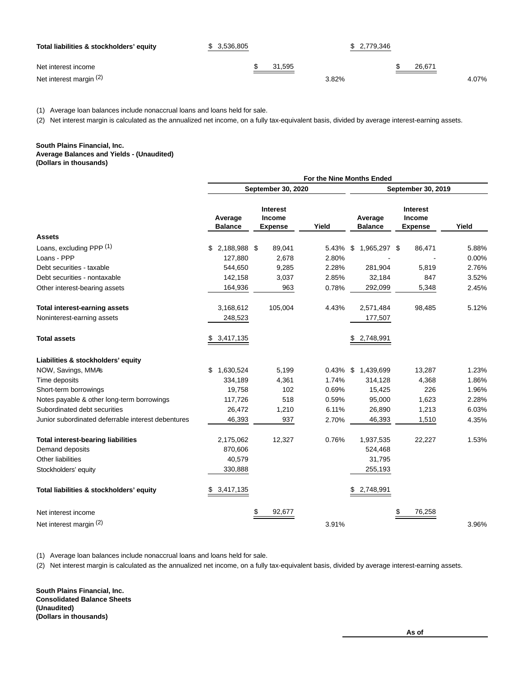| Total liabilities & stockholders' equity | \$3,536,805 | \$ 2,779,346 |        |       |
|------------------------------------------|-------------|--------------|--------|-------|
| Net interest income                      | 31.595      |              | 26.671 |       |
| Net interest margin (2)                  |             | 3.82%        |        | 4.07% |

(1) Average loan balances include nonaccrual loans and loans held for sale.

(2) Net interest margin is calculated as the annualized net income, on a fully tax-equivalent basis, divided by average interest-earning assets.

# **South Plains Financial, Inc.**

**Average Balances and Yields - (Unaudited) (Dollars in thousands)**

|                                                    | For the Nine Months Ended     |                                                    |                |                           |                                             |                |  |
|----------------------------------------------------|-------------------------------|----------------------------------------------------|----------------|---------------------------|---------------------------------------------|----------------|--|
|                                                    |                               | September 30, 2020                                 |                | September 30, 2019        |                                             |                |  |
|                                                    | Average<br><b>Balance</b>     | <b>Interest</b><br><b>Income</b><br><b>Expense</b> | Yield          | Average<br><b>Balance</b> | <b>Interest</b><br>Income<br><b>Expense</b> | Yield          |  |
| <b>Assets</b>                                      |                               |                                                    |                |                           |                                             |                |  |
| Loans, excluding PPP (1)<br>Loans - PPP            | 2,188,988 \$<br>\$<br>127,880 | 89,041<br>2,678                                    | 5.43%<br>2.80% | \$<br>1,965,297 \$        | 86,471                                      | 5.88%<br>0.00% |  |
| Debt securities - taxable                          | 544,650                       | 9,285                                              | 2.28%          | 281,904                   | 5,819                                       | 2.76%          |  |
| Debt securities - nontaxable                       | 142,158                       | 3,037                                              | 2.85%          | 32,184                    | 847                                         | 3.52%          |  |
| Other interest-bearing assets                      | 164,936                       | 963                                                | 0.78%          | 292,099                   | 5,348                                       | 2.45%          |  |
| Total interest-earning assets                      | 3,168,612                     | 105,004                                            | 4.43%          | 2,571,484                 | 98,485                                      | 5.12%          |  |
| Noninterest-earning assets                         | 248,523                       |                                                    |                | 177,507                   |                                             |                |  |
| <b>Total assets</b>                                | 3,417,135<br>\$               |                                                    |                | \$2,748,991               |                                             |                |  |
| Liabilities & stockholders' equity                 |                               |                                                    |                |                           |                                             |                |  |
| NOW, Savings, MMA's                                | 1,630,524<br>\$               | 5,199                                              | $0.43\%$ \$    | 1,439,699                 | 13,287                                      | 1.23%          |  |
| Time deposits                                      | 334,189                       | 4,361                                              | 1.74%          | 314,128                   | 4,368                                       | 1.86%          |  |
| Short-term borrowings                              | 19,758                        | 102                                                | 0.69%          | 15,425                    | 226                                         | 1.96%          |  |
| Notes payable & other long-term borrowings         | 117,726                       | 518                                                | 0.59%          | 95,000                    | 1,623                                       | 2.28%          |  |
| Subordinated debt securities                       | 26,472                        | 1,210                                              | 6.11%          | 26,890                    | 1,213                                       | 6.03%          |  |
| Junior subordinated deferrable interest debentures | 46,393                        | 937                                                | 2.70%          | 46,393                    | 1,510                                       | 4.35%          |  |
| <b>Total interest-bearing liabilities</b>          | 2,175,062                     | 12,327                                             | 0.76%          | 1,937,535                 | 22,227                                      | 1.53%          |  |
| Demand deposits                                    | 870,606                       |                                                    |                | 524,468                   |                                             |                |  |
| Other liabilities                                  | 40,579                        |                                                    |                | 31,795                    |                                             |                |  |
| Stockholders' equity                               | 330,888                       |                                                    |                | 255,193                   |                                             |                |  |
| Total liabilities & stockholders' equity           | 3,417,135                     |                                                    |                | 2,748,991                 |                                             |                |  |
| Net interest income                                |                               | \$<br>92,677                                       |                |                           | 76,258                                      |                |  |
| Net interest margin (2)                            |                               |                                                    | 3.91%          |                           |                                             | 3.96%          |  |

(1) Average loan balances include nonaccrual loans and loans held for sale.

(2) Net interest margin is calculated as the annualized net income, on a fully tax-equivalent basis, divided by average interest-earning assets.

**South Plains Financial, Inc. Consolidated Balance Sheets (Unaudited) (Dollars in thousands)**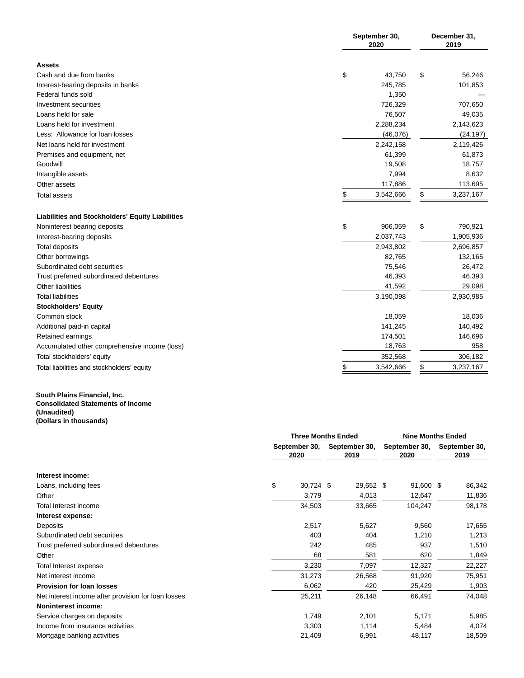|                                                  | September 30,<br>2020 | December 31,<br>2019 |           |  |
|--------------------------------------------------|-----------------------|----------------------|-----------|--|
| <b>Assets</b>                                    |                       |                      |           |  |
| Cash and due from banks                          | \$<br>43,750          | \$                   | 56,246    |  |
| Interest-bearing deposits in banks               | 245,785               |                      | 101,853   |  |
| Federal funds sold                               | 1,350                 |                      |           |  |
| Investment securities                            | 726,329               |                      | 707,650   |  |
| Loans held for sale                              | 76,507                |                      | 49,035    |  |
| Loans held for investment                        | 2,288,234             |                      | 2,143,623 |  |
| Less: Allowance for loan losses                  | (46,076)              |                      | (24, 197) |  |
| Net loans held for investment                    | 2,242,158             |                      | 2,119,426 |  |
| Premises and equipment, net                      | 61,399                |                      | 61,873    |  |
| Goodwill                                         | 19,508                |                      | 18,757    |  |
| Intangible assets                                | 7,994                 |                      | 8,632     |  |
| Other assets                                     | 117,886               |                      | 113,695   |  |
| Total assets                                     | \$<br>3,542,666       | \$                   | 3,237,167 |  |
| Liabilities and Stockholders' Equity Liabilities |                       |                      |           |  |
| Noninterest bearing deposits                     | \$<br>906,059         | \$                   | 790,921   |  |
| Interest-bearing deposits                        | 2,037,743             |                      | 1,905,936 |  |
| Total deposits                                   | 2,943,802             |                      | 2,696,857 |  |
| Other borrowings                                 | 82,765                |                      | 132,165   |  |
| Subordinated debt securities                     | 75,546                |                      | 26,472    |  |
| Trust preferred subordinated debentures          | 46,393                |                      | 46,393    |  |
| Other liabilities                                | 41,592                |                      | 29,098    |  |
| <b>Total liabilities</b>                         | 3,190,098             |                      | 2,930,985 |  |
| <b>Stockholders' Equity</b>                      |                       |                      |           |  |
| Common stock                                     | 18,059                |                      | 18,036    |  |
| Additional paid-in capital                       | 141,245               |                      | 140,492   |  |
| Retained earnings                                | 174,501               |                      | 146,696   |  |
| Accumulated other comprehensive income (loss)    | 18,763                |                      | 958       |  |
| Total stockholders' equity                       | 352,568               |                      | 306,182   |  |
| Total liabilities and stockholders' equity       | \$<br>3,542,666       | \$                   | 3,237,167 |  |

#### **South Plains Financial, Inc. Consolidated Statements of Income (Unaudited) (Dollars in thousands)**

|                                                     | <b>Three Months Ended</b> | <b>Nine Months Ended</b> |                       |                       |  |
|-----------------------------------------------------|---------------------------|--------------------------|-----------------------|-----------------------|--|
|                                                     | September 30,<br>2020     | September 30,<br>2019    | September 30,<br>2020 | September 30,<br>2019 |  |
| Interest income:                                    |                           |                          |                       |                       |  |
| Loans, including fees                               | \$<br>30,724 \$           | 29,652 \$                | 91,600 \$             | 86,342                |  |
| Other                                               | 3,779                     | 4,013                    | 12,647                | 11,836                |  |
| Total Interest income                               | 34,503                    | 33,665                   | 104,247               | 98,178                |  |
| Interest expense:                                   |                           |                          |                       |                       |  |
| Deposits                                            | 2,517                     | 5,627                    | 9,560                 | 17,655                |  |
| Subordinated debt securities                        | 403                       | 404                      | 1,210                 | 1,213                 |  |
| Trust preferred subordinated debentures             | 242                       | 485                      | 937                   | 1,510                 |  |
| Other                                               | 68                        | 581                      | 620                   | 1,849                 |  |
| Total Interest expense                              | 3,230                     | 7,097                    | 12,327                | 22,227                |  |
| Net interest income                                 | 31,273                    | 26,568                   | 91,920                | 75,951                |  |
| <b>Provision for loan losses</b>                    | 6,062                     | 420                      | 25,429                | 1,903                 |  |
| Net interest income after provision for loan losses | 25,211                    | 26,148                   | 66,491                | 74,048                |  |
| <b>Noninterest income:</b>                          |                           |                          |                       |                       |  |
| Service charges on deposits                         | 1,749                     | 2,101                    | 5,171                 | 5,985                 |  |
| Income from insurance activities                    | 3,303                     | 1,114                    | 5,484                 | 4,074                 |  |
| Mortgage banking activities                         | 21,409                    | 6,991                    | 48,117                | 18,509                |  |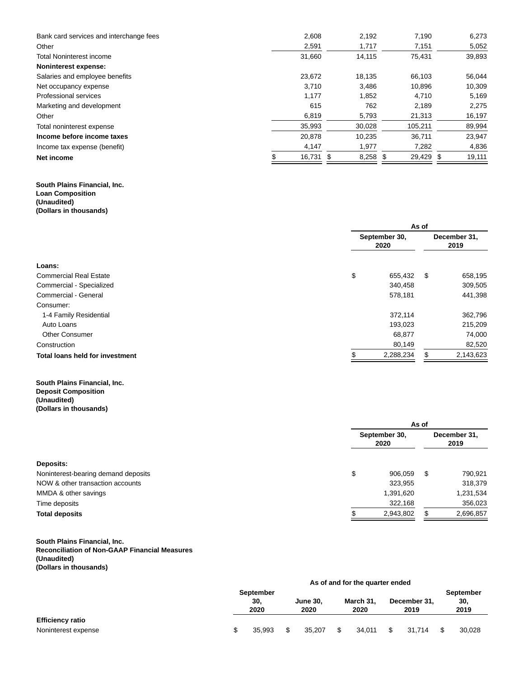| Bank card services and interchange fees | 2.608     | 2.192      | 7.190     | 6.273  |
|-----------------------------------------|-----------|------------|-----------|--------|
| Other                                   | 2,591     | 1,717      | 7,151     | 5,052  |
| <b>Total Noninterest income</b>         | 31.660    | 14,115     | 75.431    | 39,893 |
| Noninterest expense:                    |           |            |           |        |
| Salaries and employee benefits          | 23.672    | 18.135     | 66.103    | 56.044 |
| Net occupancy expense                   | 3.710     | 3,486      | 10,896    | 10,309 |
| Professional services                   | 1.177     | 1,852      | 4.710     | 5,169  |
| Marketing and development               | 615       | 762        | 2.189     | 2.275  |
| Other                                   | 6,819     | 5,793      | 21,313    | 16,197 |
| Total noninterest expense               | 35,993    | 30,028     | 105,211   | 89,994 |
| Income before income taxes              | 20.878    | 10.235     | 36.711    | 23,947 |
| Income tax expense (benefit)            | 4,147     | 1,977      | 7,282     | 4,836  |
| Net income                              | 16,731 \$ | $8,258$ \$ | 29,429 \$ | 19,111 |

### **South Plains Financial, Inc. Loan Composition (Unaudited) (Dollars in thousands)**

|                                        | As of                 |    |                      |  |
|----------------------------------------|-----------------------|----|----------------------|--|
|                                        | September 30,<br>2020 |    | December 31,<br>2019 |  |
| Loans:                                 |                       |    |                      |  |
| <b>Commercial Real Estate</b>          | \$<br>655,432         | \$ | 658,195              |  |
| Commercial - Specialized               | 340,458               |    | 309,505              |  |
| Commercial - General                   | 578,181               |    | 441,398              |  |
| Consumer:                              |                       |    |                      |  |
| 1-4 Family Residential                 | 372,114               |    | 362,796              |  |
| Auto Loans                             | 193,023               |    | 215,209              |  |
| <b>Other Consumer</b>                  | 68,877                |    | 74,000               |  |
| Construction                           | 80,149                |    | 82,520               |  |
| <b>Total loans held for investment</b> | 2,288,234             |    | 2,143,623            |  |

### **South Plains Financial, Inc. Deposit Composition (Unaudited) (Dollars in thousands)**

|                                     |                       | As of     |     |                      |  |
|-------------------------------------|-----------------------|-----------|-----|----------------------|--|
|                                     | September 30,<br>2020 |           |     | December 31,<br>2019 |  |
| Deposits:                           |                       |           |     |                      |  |
| Noninterest-bearing demand deposits | \$                    | 906,059   | \$. | 790,921              |  |
| NOW & other transaction accounts    |                       | 323,955   |     | 318,379              |  |
| MMDA & other savings                |                       | 1,391,620 |     | 1,231,534            |  |
| Time deposits                       |                       | 322,168   |     | 356,023              |  |
| <b>Total deposits</b>               |                       | 2,943,802 |     | 2,696,857            |  |

# **South Plains Financial, Inc.**

## **Reconciliation of Non-GAAP Financial Measures (Unaudited)**

**(Dollars in thousands)**

|                         | As of and for the quarter ended |             |  |                         |    |                   |  |                      |  |            |
|-------------------------|---------------------------------|-------------|--|-------------------------|----|-------------------|--|----------------------|--|------------|
|                         | September                       |             |  |                         |    |                   |  |                      |  | September  |
|                         |                                 | 30.<br>2020 |  | <b>June 30.</b><br>2020 |    | March 31.<br>2020 |  | December 31,<br>2019 |  | 30<br>2019 |
| <b>Efficiency ratio</b> |                                 |             |  |                         |    |                   |  |                      |  |            |
| Noninterest expense     |                                 | 35.993      |  | 35.207                  | \$ | 34.011            |  | 31.714               |  | 30,028     |